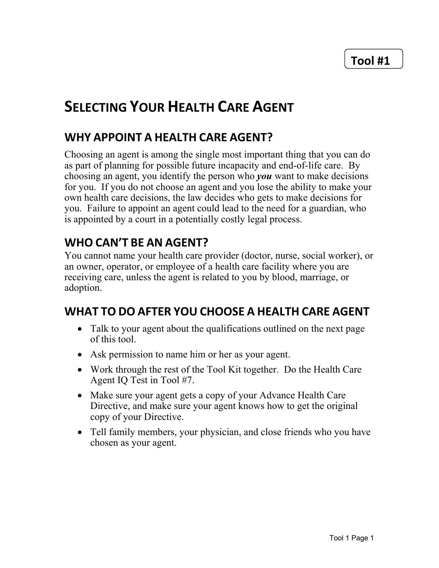## **SELECTING YOUR HEALTH CARE AGENT**

## WHY APPOINT A HEALTH CARE AGENT?

Choosing an agent is among the single most important thing that you can do as part of planning for possible future incapacity and end-of-life care. By choosing an agent, you identify the person who you want to make decisions for you. If you do not choose an agent and you lose the ability to make your own health care decisions, the law decides who gets to make decisions for you. Failure to appoint an agent could lead to the need for a guardian, who is appointed by a court in a potentially costly legal process.

## WHO CAN'T BE AN AGENT?

You cannot name your health care provider (doctor, nurse, social worker), or an owner, operator, or employee of a health care facility where you are receiving care, unless the agent is related to you by blood, marriage, or adoption.

## WHAT TO DO AFTER YOU CHOOSE A HEALTH CARE AGENT

- Talk to your agent about the qualifications outlined on the next page of this tool.
- Ask permission to name him or her as your agent.
- Work through the rest of the Tool Kit together. Do the Health Care Agent IQ Test in Tool #7.
- Make sure your agent gets a copy of your Advance Health Care Directive, and make sure your agent knows how to get the original copy of your Directive.
- Tell family members, your physician, and close friends who you have chosen as your agent.